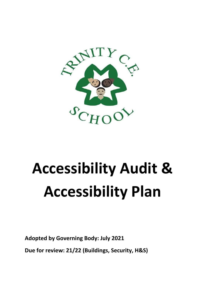

## **Accessibility Audit & Accessibility Plan**

**Adopted by Governing Body: July 2021**

**Due for review: 21/22 (Buildings, Security, H&S)**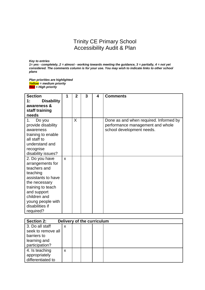## Trinity CE Primary School Accessibility Audit & Plan

*Key to entries*

*1= yes - completely, 2 = almost - working towards meeting the guidance, 3 = partially, 4 = not yet considered. The comments column is for your use. You may wish to indicate links to other school plans*

*Plan priorities are highlighted Yellow = medium priority Red = High priority*

| <b>Section</b><br><b>Disability</b><br>1: | 1 | $\mathbf{2}$ | 3 | 4 | <b>Comments</b>                        |
|-------------------------------------------|---|--------------|---|---|----------------------------------------|
| awareness &                               |   |              |   |   |                                        |
| staff training                            |   |              |   |   |                                        |
| needs                                     |   |              |   |   |                                        |
| 1.<br>Do you                              |   | X            |   |   | Done as and when required. Informed by |
| provide disability                        |   |              |   |   | performance management and whole       |
| awareness                                 |   |              |   |   | school development needs.              |
| training to enable                        |   |              |   |   |                                        |
| all staff to                              |   |              |   |   |                                        |
| understand and                            |   |              |   |   |                                        |
| recognise                                 |   |              |   |   |                                        |
| disability issues?                        |   |              |   |   |                                        |
| 2. Do you have                            | X |              |   |   |                                        |
| arrangements for                          |   |              |   |   |                                        |
| teachers and                              |   |              |   |   |                                        |
| teaching                                  |   |              |   |   |                                        |
| assistants to have                        |   |              |   |   |                                        |
| the necessary                             |   |              |   |   |                                        |
| training to teach                         |   |              |   |   |                                        |
| and support<br>children and               |   |              |   |   |                                        |
| young people with                         |   |              |   |   |                                        |
| disabilities if                           |   |              |   |   |                                        |
| required?                                 |   |              |   |   |                                        |
|                                           |   |              |   |   |                                        |

| <b>Section 2:</b>  |   | Delivery of the curriculum |  |  |  |
|--------------------|---|----------------------------|--|--|--|
| 3. Do all staff    | X |                            |  |  |  |
| seek to remove all |   |                            |  |  |  |
| barriers to        |   |                            |  |  |  |
| learning and       |   |                            |  |  |  |
| participation?     |   |                            |  |  |  |
| 4. Is teaching     | X |                            |  |  |  |
| appropriately      |   |                            |  |  |  |
| differentiated to  |   |                            |  |  |  |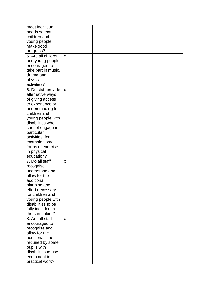| meet individual<br>needs so that<br>children and<br>young people<br>make good<br>progress?<br>5. Are all children<br>and young people<br>encouraged to<br>take part in music,<br>drama and<br>physical<br>activities?                                                                | $\mathsf{x}$ |  |  |
|--------------------------------------------------------------------------------------------------------------------------------------------------------------------------------------------------------------------------------------------------------------------------------------|--------------|--|--|
| 6. Do staff provide<br>alternative ways<br>of giving access<br>to experience or<br>understanding for<br>children and<br>young people with<br>disabilities who<br>cannot engage in<br>particular<br>activities, for<br>example some<br>forms of exercise<br>in physical<br>education? | $\mathsf{x}$ |  |  |
| 7. Do all staff<br>recognise,<br>understand and<br>allow for the<br>additional<br>planning and<br>effort necessary<br>for children and<br>young people with<br>disabilities to be<br>fully included in<br>the curriculum?                                                            | X            |  |  |
| 8. Are all staff<br>encouraged to<br>recognise and<br>allow for the<br>additional time<br>required by some<br>pupils with<br>disabilities to use<br>equipment in<br>practical work?                                                                                                  | X            |  |  |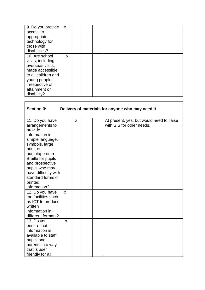| 9. Do you provide<br>access to<br>appropriate<br>technology for<br>those with<br>disabilities?                                                                       | $\mathsf{x}$ |  |  |
|----------------------------------------------------------------------------------------------------------------------------------------------------------------------|--------------|--|--|
| 10. Are school<br>visits, including<br>overseas visits,<br>made accessible<br>to all children and<br>young people<br>irrespective of<br>attainment or<br>disability? | X            |  |  |

| <b>Section 3:</b>                                                                                                                                                                                                                                                               |                   |   |  | Delivery of materials for anyone who may need it                       |
|---------------------------------------------------------------------------------------------------------------------------------------------------------------------------------------------------------------------------------------------------------------------------------|-------------------|---|--|------------------------------------------------------------------------|
| 11. Do you have<br>arrangements to<br>provide<br>information in<br>simple language,<br>symbols, large<br>print, on<br>audiotape or in<br><b>Braille for pupils</b><br>and prospective<br>pupils who may<br>have difficulty with<br>standard forms of<br>printed<br>information? |                   | X |  | At present, yes, but would need to liaise<br>with SIS for other needs. |
| 12. Do you have<br>the facilities such<br>as ICT to produce<br>written<br>information in<br>different formats?<br>13. Do you                                                                                                                                                    | $\mathsf{x}$<br>X |   |  |                                                                        |
| ensure that<br>information is<br>available to staff,<br>pupils and<br>parents in a way<br>that is user<br>friendly for all                                                                                                                                                      |                   |   |  |                                                                        |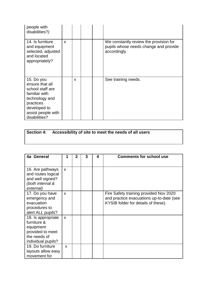| people with<br>disabilities?)                                                                                                                            |   |              |  |                                                                                                 |
|----------------------------------------------------------------------------------------------------------------------------------------------------------|---|--------------|--|-------------------------------------------------------------------------------------------------|
| 14. Is furniture<br>and equipment<br>selected, adjusted<br>and located<br>appropriately?                                                                 | X |              |  | We constantly review the provision for<br>pupils whose needs change and provide<br>accordingly. |
| 15. Do you<br>ensure that all<br>school staff are<br>familiar with<br>technology and<br>practices<br>developed to<br>assist people with<br>disabilities? |   | $\mathbf{x}$ |  | See training needs.                                                                             |

|  | Section 4: Accessibility of site to meet the needs of all users |
|--|-----------------------------------------------------------------|
|--|-----------------------------------------------------------------|

| 4a General                                                                                               | 1 | $\mathbf{2}$ | 3 | 4 | <b>Comments for school use</b>                                                                                            |
|----------------------------------------------------------------------------------------------------------|---|--------------|---|---|---------------------------------------------------------------------------------------------------------------------------|
|                                                                                                          |   |              |   |   |                                                                                                                           |
| 16. Are pathways<br>and routes logical<br>and well signed?<br>(both internal &<br>external)              | X |              |   |   |                                                                                                                           |
| 17. Do you have<br>emergency and<br>evacuation<br>procedures to<br>alert ALL pupils?                     | X |              |   |   | Fire Safety training provided Nov 2020<br>and practice evacuations up-to-date (see<br>KYSIB folder for details of these). |
| 18. Is appropriate<br>furniture &<br>equipment<br>provided to meet<br>the needs of<br>individual pupils? | X |              |   |   |                                                                                                                           |
| 19. Do furniture<br>layouts allow easy<br>movement for                                                   | X |              |   |   |                                                                                                                           |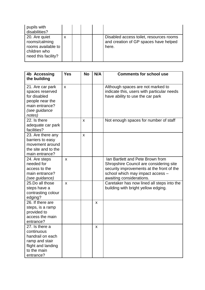| pupils with<br>disabilities?                                                                |   |  |                                                                                           |
|---------------------------------------------------------------------------------------------|---|--|-------------------------------------------------------------------------------------------|
| 20. Are quiet<br>rooms/calming<br>rooms available to<br>children who<br>need this facility? | X |  | Disabled access toilet, resources rooms<br>and creation of GP spaces have helped<br>here. |

| 4b Accessing<br>the building                                                                                         | <b>Yes</b> | <b>No</b> | N/A | <b>Comments for school use</b>                                                                                                                                                           |
|----------------------------------------------------------------------------------------------------------------------|------------|-----------|-----|------------------------------------------------------------------------------------------------------------------------------------------------------------------------------------------|
| 21. Are car park<br>spaces reserved<br>for disabled<br>people near the<br>main entrance?<br>(see guidance<br>notes)  | X          |           |     | Although spaces are not marked to<br>indicate this, users with particular needs<br>have ability to use the car park                                                                      |
| 22. Is there<br>adequate car park<br>facilities?                                                                     |            | X         |     | Not enough spaces for number of staff                                                                                                                                                    |
| 23. Are there any<br>barriers to easy<br>movement around<br>the site and to the<br>main entrance?                    |            | X         |     |                                                                                                                                                                                          |
| 24. Are steps<br>needed for<br>access to the<br>main entrance?<br>(see guidance)                                     | X          |           |     | Ian Bartlett and Pete Brown from<br>Shropshire Council are considering site<br>security improvements at the front of the<br>school which may impact access -<br>awaiting considerations. |
| 25.Do all those<br>steps have a<br>contrasting colour<br>edging?                                                     | X          |           |     | Caretaker has now lined all steps into the<br>building with bright yellow edging.                                                                                                        |
| 26. If there are<br>steps, is a ramp<br>provided to<br>access the main<br>entrance?                                  |            |           | X   |                                                                                                                                                                                          |
| 27. Is there a<br>continuous<br>handrail on each<br>ramp and stair<br>flight and landing<br>to the main<br>entrance? |            |           | x   |                                                                                                                                                                                          |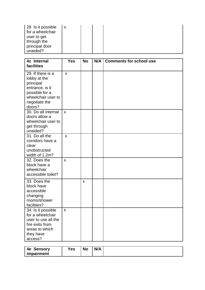| 28 Is it possible<br>for a wheelchair<br>user to get<br>through the<br>principal door |  |  |
|---------------------------------------------------------------------------------------|--|--|
| unaided?                                                                              |  |  |

| 4c Internal<br>facilities                                                                                                            | <b>Yes</b>                | <b>No</b>    | N/A | <b>Comments for school use</b> |
|--------------------------------------------------------------------------------------------------------------------------------------|---------------------------|--------------|-----|--------------------------------|
| 29. If there is a<br>lobby at the<br>principal<br>entrance, is it<br>possible for a<br>wheelchair user to<br>negotiate the<br>doors? | $\boldsymbol{\mathsf{x}}$ |              |     |                                |
| 30. Do all internal<br>doors allow a<br>wheelchair user to<br>get through<br>unaided?                                                | $\mathsf{x}$              |              |     |                                |
| 31. Do all the<br>corridors have a<br>clear<br>unobstructed<br>width of 1.2m?                                                        | $\boldsymbol{\mathsf{x}}$ |              |     |                                |
| 32. Does the<br>block have a<br>wheelchair<br>accessible toilet?                                                                     | X                         |              |     |                                |
| 33. Does the<br>block have<br>accessible<br>changing<br>rooms/shower<br>facilities?                                                  |                           | $\mathsf{x}$ |     |                                |
| 34. Is it possible<br>for a wheelchair<br>user to use all the<br>fire exits from<br>areas to which<br>they have<br>access?           | X                         |              |     |                                |

| N/A<br><b>No</b><br>Yes<br>Sensory<br>4e |
|------------------------------------------|
| impairment                               |